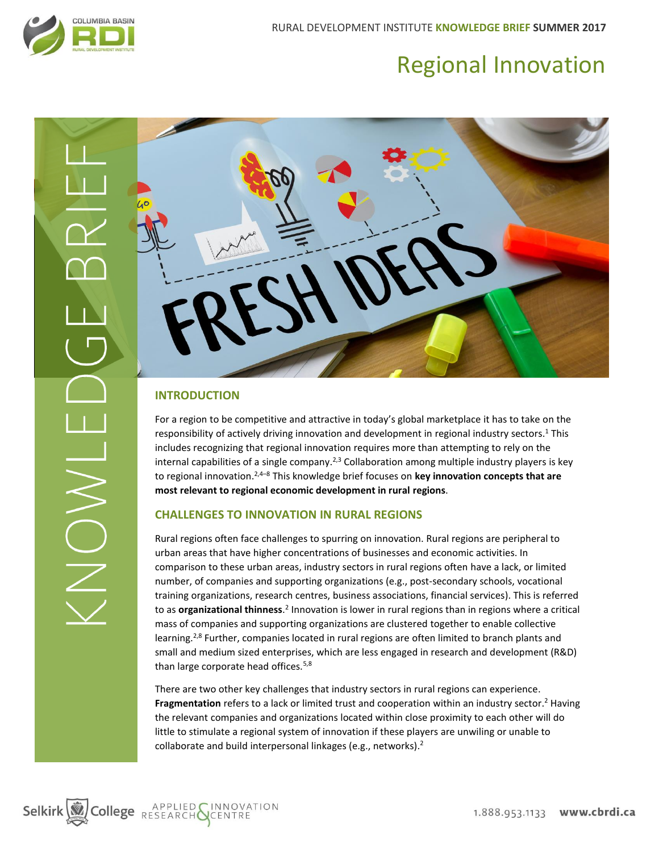

# Regional Innovation



# **INTRODUCTION**

For a region to be competitive and attractive in today's global marketplace it has to take on the responsibility of actively driving innovation and development in regional industry sectors.<sup>1</sup> This includes recognizing that regional innovation requires more than attempting to rely on the internal capabilities of a single company.<sup>2,3</sup> Collaboration among multiple industry players is key to regional innovation. 2,4–<sup>8</sup> This knowledge brief focuses on **key innovation concepts that are most relevant to regional economic development in rural regions**.

# **CHALLENGES TO INNOVATION IN RURAL REGIONS**

Rural regions often face challenges to spurring on innovation. Rural regions are peripheral to urban areas that have higher concentrations of businesses and economic activities. In comparison to these urban areas, industry sectors in rural regions often have a lack, or limited number, of companies and supporting organizations (e.g., post-secondary schools, vocational training organizations, research centres, business associations, financial services). This is referred to as **organizational thinness**.<sup>2</sup> Innovation is lower in rural regions than in regions where a critical mass of companies and supporting organizations are clustered together to enable collective learning.<sup>2,8</sup> Further, companies located in rural regions are often limited to branch plants and small and medium sized enterprises, which are less engaged in research and development (R&D) than large corporate head offices.<sup>5,8</sup>

There are two other key challenges that industry sectors in rural regions can experience. **Fragmentation** refers to a lack or limited trust and cooperation within an industry sector. <sup>2</sup> Having the relevant companies and organizations located within close proximity to each other will do little to stimulate a regional system of innovation if these players are unwiling or unable to collaborate and build interpersonal linkages (e.g., networks).<sup>2</sup>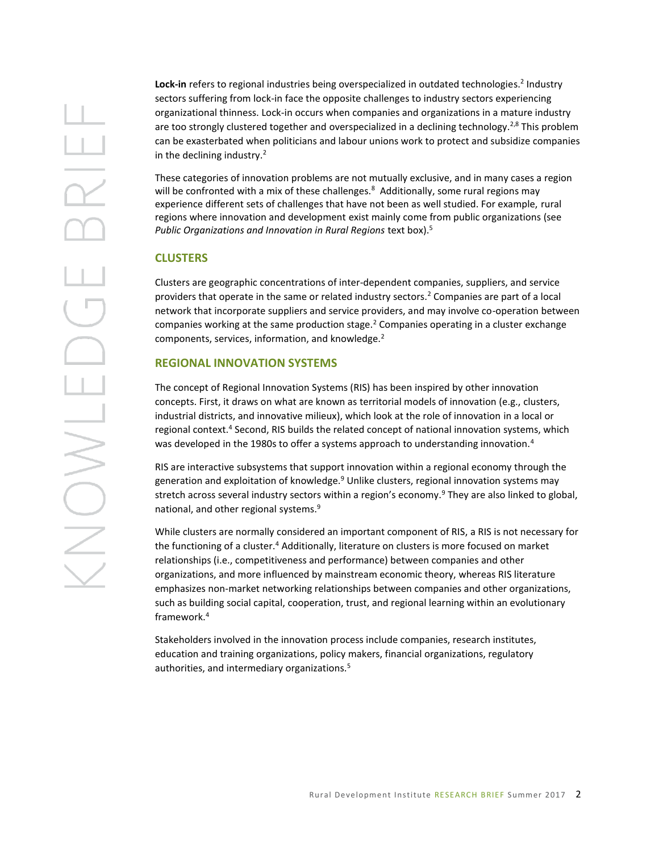Lock-in refers to regional industries being overspecialized in outdated technologies.<sup>2</sup> Industry sectors suffering from lock-in face the opposite challenges to industry sectors experiencing organizational thinness. Lock-in occurs when companies and organizations in a mature industry are too strongly clustered together and overspecialized in a declining technology.<sup>2,8</sup> This problem can be exasterbated when politicians and labour unions work to protect and subsidize companies in the declining industry.<sup>2</sup>

These categories of innovation problems are not mutually exclusive, and in many cases a region will be confronted with a mix of these challenges.<sup>8</sup> Additionally, some rural regions may experience different sets of challenges that have not been as well studied. For example, rural regions where innovation and development exist mainly come from public organizations (see *Public Organizations and Innovation in Rural Regions* text box).<sup>5</sup>

### **CLUSTERS**

Clusters are geographic concentrations of inter-dependent companies, suppliers, and service providers that operate in the same or related industry sectors.<sup>2</sup> Companies are part of a local network that incorporate suppliers and service providers, and may involve co-operation between companies working at the same production stage.<sup>2</sup> Companies operating in a cluster exchange components, services, information, and knowledge.<sup>2</sup>

## **REGIONAL INNOVATION SYSTEMS**

The concept of Regional Innovation Systems (RIS) has been inspired by other innovation concepts. First, it draws on what are known as territorial models of innovation (e.g., clusters, industrial districts, and innovative milieux), which look at the role of innovation in a local or regional context.<sup>4</sup> Second, RIS builds the related concept of national innovation systems, which was developed in the 1980s to offer a systems approach to understanding innovation.<sup>4</sup>

RIS are interactive subsystems that support innovation within a regional economy through the generation and exploitation of knowledge. $9$  Unlike clusters, regional innovation systems may stretch across several industry sectors within a region's economy.<sup>9</sup> They are also linked to global, national, and other regional systems.<sup>9</sup>

While clusters are normally considered an important component of RIS, a RIS is not necessary for the functioning of a cluster.<sup>4</sup> Additionally, literature on clusters is more focused on market relationships (i.e., competitiveness and performance) between companies and other organizations, and more influenced by mainstream economic theory, whereas RIS literature emphasizes non-market networking relationships between companies and other organizations, such as building social capital, cooperation, trust, and regional learning within an evolutionary framework.<sup>4</sup>

Stakeholders involved in the innovation process include companies, research institutes, education and training organizations, policy makers, financial organizations, regulatory authorities, and intermediary organizations.5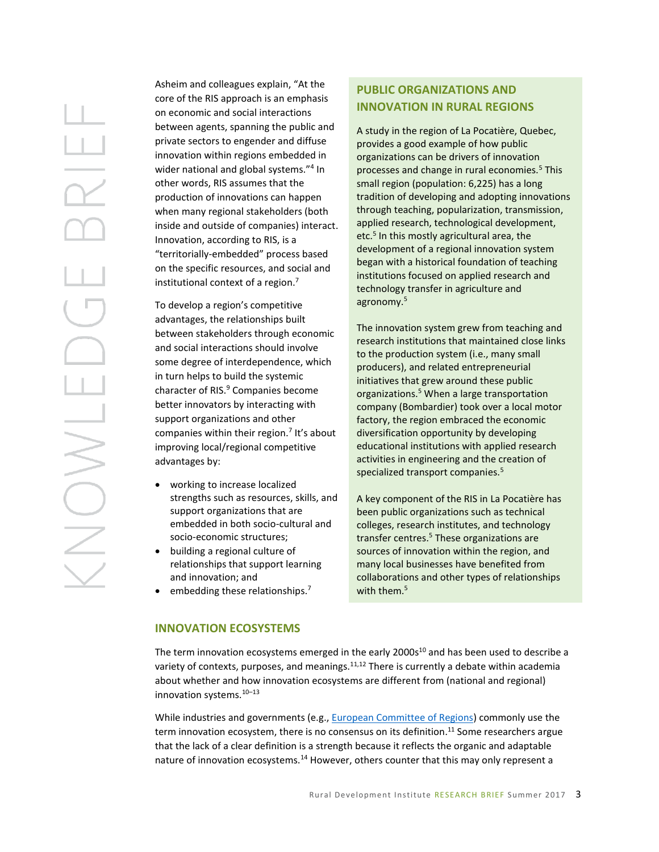Asheim and colleagues explain, "At the core of the RIS approach is an emphasis on economic and social interactions between agents, spanning the public and private sectors to engender and diffuse innovation within regions embedded in wider national and global systems."<sup>4</sup> In other words, RIS assumes that the production of innovations can happen when many regional stakeholders (both inside and outside of companies) interact. Innovation, according to RIS, is a "territorially-embedded" process based on the specific resources, and social and institutional context of a region. 7

To develop a region's competitive advantages, the relationships built between stakeholders through economic and social interactions should involve some degree of interdependence, which in turn helps to build the systemic character of RIS.<sup>9</sup> Companies become better innovators by interacting with support organizations and other companies within their region.<sup>7</sup> It's about improving local/regional competitive advantages by:

- working to increase localized strengths such as resources, skills, and support organizations that are embedded in both socio-cultural and socio-economic structures;
- building a regional culture of relationships that support learning and innovation; and
- embedding these relationships.<sup>7</sup>

# **PUBLIC ORGANIZATIONS AND INNOVATION IN RURAL REGIONS**

A study in the region of La Pocatière, Quebec, provides a good example of how public organizations can be drivers of innovation processes and change in rural economies.<sup>5</sup> This small region (population: 6,225) has a long tradition of developing and adopting innovations through teaching, popularization, transmission, applied research, technological development, etc.<sup>5</sup> In this mostly agricultural area, the development of a regional innovation system began with a historical foundation of teaching institutions focused on applied research and technology transfer in agriculture and agronomy.<sup>5</sup>

The innovation system grew from teaching and research institutions that maintained close links to the production system (i.e., many small producers), and related entrepreneurial initiatives that grew around these public organizations.<sup>5</sup> When a large transportation company (Bombardier) took over a local motor factory, the region embraced the economic diversification opportunity by developing educational institutions with applied research activities in engineering and the creation of specialized transport companies.<sup>5</sup>

A key component of the RIS in La Pocatière has been public organizations such as technical colleges, research institutes, and technology transfer centres.<sup>5</sup> These organizations are sources of innovation within the region, and many local businesses have benefited from collaborations and other types of relationships with them.<sup>5</sup>

#### **INNOVATION ECOSYSTEMS**

The term innovation ecosystems emerged in the early  $2000s^{10}$  and has been used to describe a variety of contexts, purposes, and meanings. $11,12$  There is currently a debate within academia about whether and how innovation ecosystems are different from (national and regional) innovation systems.<sup>10</sup>–<sup>13</sup>

While industries and governments (e.g.[, European Committee](http://cor.europa.eu/en/documentation/brochures/Documents/Regional-innovation-ecosystems/Regional-innovation-ecosystems.pdf) of Regions) commonly use the term innovation ecosystem, there is no consensus on its definition.<sup>11</sup> Some researchers argue that the lack of a clear definition is a strength because it reflects the organic and adaptable nature of innovation ecosystems.<sup>14</sup> However, others counter that this may only represent a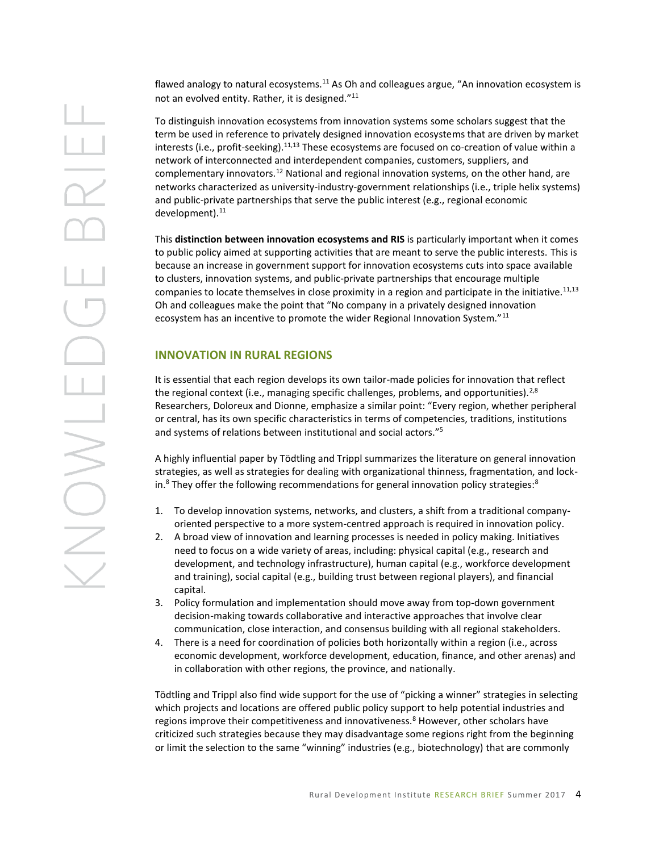flawed analogy to natural ecosystems.<sup>11</sup> As Oh and colleagues argue, "An innovation ecosystem is not an evolved entity. Rather, it is designed."<sup>11</sup>

To distinguish innovation ecosystems from innovation systems some scholars suggest that the term be used in reference to privately designed innovation ecosystems that are driven by market interests (i.e., profit-seeking).<sup>11,13</sup> These ecosystems are focused on co-creation of value within a network of interconnected and interdependent companies, customers, suppliers, and complementary innovators.<sup>12</sup> National and regional innovation systems, on the other hand, are networks characterized as university-industry-government relationships (i.e., triple helix systems) and public-private partnerships that serve the public interest (e.g., regional economic development). $^{11}$ 

This **distinction between innovation ecosystems and RIS** is particularly important when it comes to public policy aimed at supporting activities that are meant to serve the public interests. This is because an increase in government support for innovation ecosystems cuts into space available to clusters, innovation systems, and public-private partnerships that encourage multiple companies to locate themselves in close proximity in a region and participate in the initiative.<sup>11,13</sup> Oh and colleagues make the point that "No company in a privately designed innovation ecosystem has an incentive to promote the wider Regional Innovation System."<sup>11</sup>

# **INNOVATION IN RURAL REGIONS**

It is essential that each region develops its own tailor-made policies for innovation that reflect the regional context (i.e., managing specific challenges, problems, and opportunities).<sup>2,8</sup> Researchers, Doloreux and Dionne, emphasize a similar point: "Every region, whether peripheral or central, has its own specific characteristics in terms of competencies, traditions, institutions and systems of relations between institutional and social actors."<sup>5</sup>

A highly influential paper by Tödtling and Trippl summarizes the literature on general innovation strategies, as well as strategies for dealing with organizational thinness, fragmentation, and lockin.<sup>8</sup> They offer the following recommendations for general innovation policy strategies:<sup>8</sup>

- 1. To develop innovation systems, networks, and clusters, a shift from a traditional companyoriented perspective to a more system-centred approach is required in innovation policy.
- 2. A broad view of innovation and learning processes is needed in policy making. Initiatives need to focus on a wide variety of areas, including: physical capital (e.g., research and development, and technology infrastructure), human capital (e.g., workforce development and training), social capital (e.g., building trust between regional players), and financial capital.
- 3. Policy formulation and implementation should move away from top-down government decision-making towards collaborative and interactive approaches that involve clear communication, close interaction, and consensus building with all regional stakeholders.
- 4. There is a need for coordination of policies both horizontally within a region (i.e., across economic development, workforce development, education, finance, and other arenas) and in collaboration with other regions, the province, and nationally.

Tödtling and Trippl also find wide support for the use of "picking a winner" strategies in selecting which projects and locations are offered public policy support to help potential industries and regions improve their competitiveness and innovativeness.<sup>8</sup> However, other scholars have criticized such strategies because they may disadvantage some regions right from the beginning or limit the selection to the same "winning" industries (e.g., biotechnology) that are commonly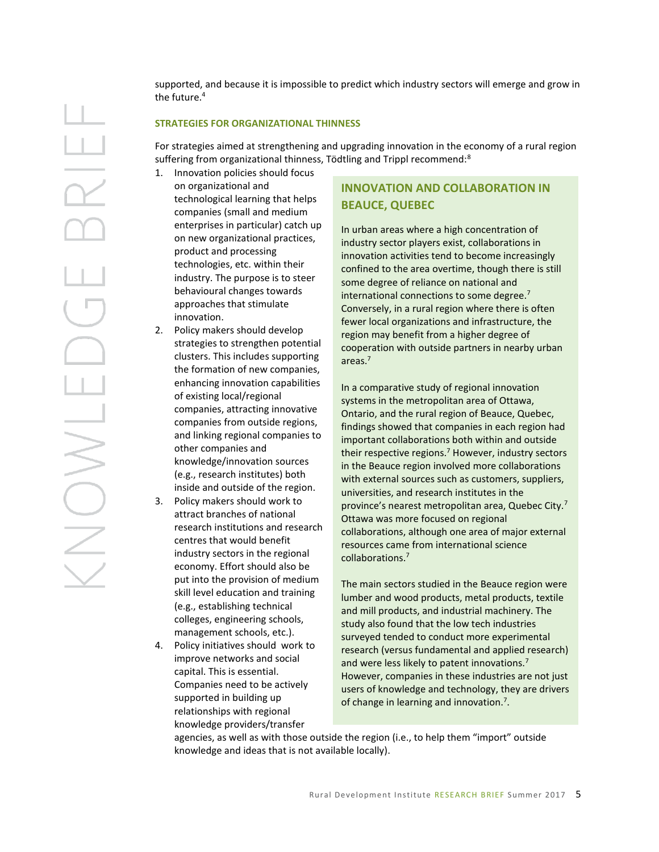supported, and because it is impossible to predict which industry sectors will emerge and grow in the future.<sup>4</sup>

#### **STRATEGIES FOR ORGANIZATIONAL THINNESS**

For strategies aimed at strengthening and upgrading innovation in the economy of a rural region suffering from organizational thinness, Tödtling and Trippl recommend:<sup>8</sup>

- 1. Innovation policies should focus on organizational and technological learning that helps companies (small and medium enterprises in particular) catch up on new organizational practices, product and processing technologies, etc. within their industry. The purpose is to steer behavioural changes towards approaches that stimulate innovation.
- 2. Policy makers should develop strategies to strengthen potential clusters. This includes supporting the formation of new companies, enhancing innovation capabilities of existing local/regional companies, attracting innovative companies from outside regions, and linking regional companies to other companies and knowledge/innovation sources (e.g., research institutes) both inside and outside of the region.
- 3. Policy makers should work to attract branches of national research institutions and research centres that would benefit industry sectors in the regional economy. Effort should also be put into the provision of medium skill level education and training (e.g., establishing technical colleges, engineering schools, management schools, etc.).
- 4. Policy initiatives should work to improve networks and social capital. This is essential. Companies need to be actively supported in building up relationships with regional knowledge providers/transfer

# **INNOVATION AND COLLABORATION IN BEAUCE, QUEBEC**

In urban areas where a high concentration of industry sector players exist, collaborations in innovation activities tend to become increasingly confined to the area overtime, though there is still some degree of reliance on national and international connections to some degree.<sup>7</sup> Conversely, in a rural region where there is often fewer local organizations and infrastructure, the region may benefit from a higher degree of cooperation with outside partners in nearby urban areas.<sup>7</sup>

In a comparative study of regional innovation systems in the metropolitan area of Ottawa, Ontario, and the rural region of Beauce, Quebec, findings showed that companies in each region had important collaborations both within and outside their respective regions.<sup>7</sup> However, industry sectors in the Beauce region involved more collaborations with external sources such as customers, suppliers, universities, and research institutes in the province's nearest metropolitan area, Quebec City.<sup>7</sup> Ottawa was more focused on regional collaborations, although one area of major external resources came from international science collaborations.<sup>7</sup>

The main sectors studied in the Beauce region were lumber and wood products, metal products, textile and mill products, and industrial machinery. The study also found that the low tech industries surveyed tended to conduct more experimental research (versus fundamental and applied research) and were less likely to patent innovations.<sup>7</sup> However, companies in these industries are not just users of knowledge and technology, they are drivers of change in learning and innovation.<sup>7</sup>.

agencies, as well as with those outside the region (i.e., to help them "import" outside knowledge and ideas that is not available locally).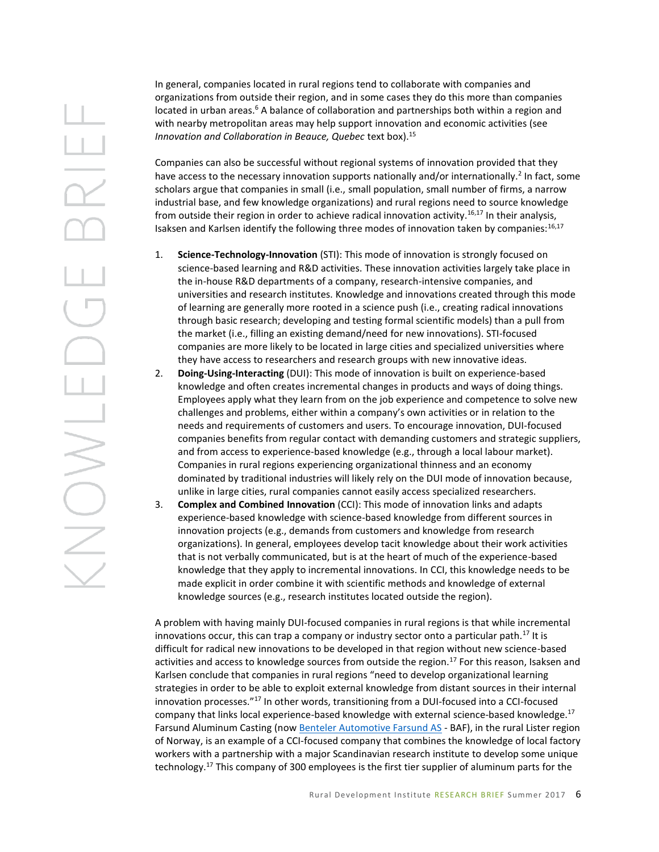In general, companies located in rural regions tend to collaborate with companies and organizations from outside their region, and in some cases they do this more than companies located in urban areas.<sup>6</sup> A balance of collaboration and partnerships both within a region and with nearby metropolitan areas may help support innovation and economic activities (see *Innovation and Collaboration in Beauce, Quebec text box).*<sup>15</sup>

Companies can also be successful without regional systems of innovation provided that they have access to the necessary innovation supports nationally and/or internationally.<sup>2</sup> In fact, some scholars argue that companies in small (i.e., small population, small number of firms, a narrow industrial base, and few knowledge organizations) and rural regions need to source knowledge from outside their region in order to achieve radical innovation activity.<sup>16,17</sup> In their analysis, Isaksen and Karlsen identify the following three modes of innovation taken by companies: $^{16,17}$ 

- 1. **Science-Technology-Innovation** (STI): This mode of innovation is strongly focused on science-based learning and R&D activities. These innovation activities largely take place in the in-house R&D departments of a company, research-intensive companies, and universities and research institutes. Knowledge and innovations created through this mode of learning are generally more rooted in a science push (i.e., creating radical innovations through basic research; developing and testing formal scientific models) than a pull from the market (i.e., filling an existing demand/need for new innovations). STI-focused companies are more likely to be located in large cities and specialized universities where they have access to researchers and research groups with new innovative ideas.
- 2. **Doing-Using-Interacting** (DUI): This mode of innovation is built on experience-based knowledge and often creates incremental changes in products and ways of doing things. Employees apply what they learn from on the job experience and competence to solve new challenges and problems, either within a company's own activities or in relation to the needs and requirements of customers and users. To encourage innovation, DUI-focused companies benefits from regular contact with demanding customers and strategic suppliers, and from access to experience-based knowledge (e.g., through a local labour market). Companies in rural regions experiencing organizational thinness and an economy dominated by traditional industries will likely rely on the DUI mode of innovation because, unlike in large cities, rural companies cannot easily access specialized researchers.
- 3. **Complex and Combined Innovation** (CCI): This mode of innovation links and adapts experience-based knowledge with science-based knowledge from different sources in innovation projects (e.g., demands from customers and knowledge from research organizations). In general, employees develop tacit knowledge about their work activities that is not verbally communicated, but is at the heart of much of the experience-based knowledge that they apply to incremental innovations. In CCI, this knowledge needs to be made explicit in order combine it with scientific methods and knowledge of external knowledge sources (e.g., research institutes located outside the region).

A problem with having mainly DUI-focused companies in rural regions is that while incremental innovations occur, this can trap a company or industry sector onto a particular path.<sup>17</sup> It is difficult for radical new innovations to be developed in that region without new science-based activities and access to knowledge sources from outside the region.<sup>17</sup> For this reason, Isaksen and Karlsen conclude that companies in rural regions "need to develop organizational learning strategies in order to be able to exploit external knowledge from distant sources in their internal innovation processes."<sup>17</sup> In other words, transitioning from a DUI-focused into a CCI-focused company that links local experience-based knowledge with external science-based knowledge.<sup>17</sup> Farsund Aluminum Casting (now [Benteler Automotive Farsund AS](http://www.fac.no/) - BAF), in the rural Lister region of Norway, is an example of a CCI-focused company that combines the knowledge of local factory workers with a partnership with a major Scandinavian research institute to develop some unique technology.<sup>17</sup> This company of 300 employees is the first tier supplier of aluminum parts for the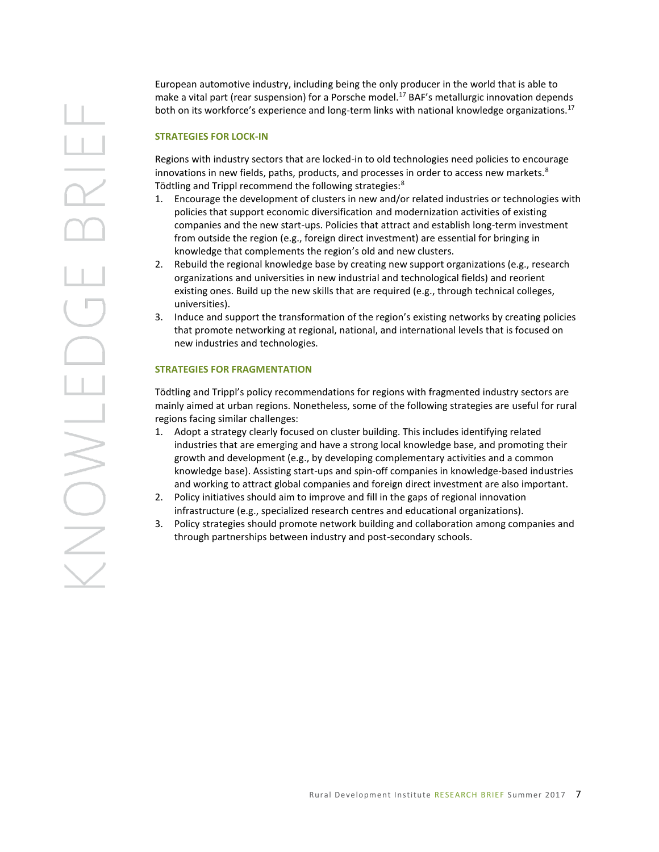European automotive industry, including being the only producer in the world that is able to make a vital part (rear suspension) for a Porsche model.<sup>17</sup> BAF's metallurgic innovation depends both on its workforce's experience and long-term links with national knowledge organizations.<sup>17</sup>

#### **STRATEGIES FOR LOCK-IN**

Regions with industry sectors that are locked-in to old technologies need policies to encourage innovations in new fields, paths, products, and processes in order to access new markets. $8$ Tödtling and Trippl recommend the following strategies:<sup>8</sup>

- 1. Encourage the development of clusters in new and/or related industries or technologies with policies that support economic diversification and modernization activities of existing companies and the new start-ups. Policies that attract and establish long-term investment from outside the region (e.g., foreign direct investment) are essential for bringing in knowledge that complements the region's old and new clusters.
- 2. Rebuild the regional knowledge base by creating new support organizations (e.g., research organizations and universities in new industrial and technological fields) and reorient existing ones. Build up the new skills that are required (e.g., through technical colleges, universities).
- 3. Induce and support the transformation of the region's existing networks by creating policies that promote networking at regional, national, and international levels that is focused on new industries and technologies.

#### **STRATEGIES FOR FRAGMENTATION**

Tödtling and Trippl's policy recommendations for regions with fragmented industry sectors are mainly aimed at urban regions. Nonetheless, some of the following strategies are useful for rural regions facing similar challenges:

- 1. Adopt a strategy clearly focused on cluster building. This includes identifying related industries that are emerging and have a strong local knowledge base, and promoting their growth and development (e.g., by developing complementary activities and a common knowledge base). Assisting start-ups and spin-off companies in knowledge-based industries and working to attract global companies and foreign direct investment are also important.
- 2. Policy initiatives should aim to improve and fill in the gaps of regional innovation infrastructure (e.g., specialized research centres and educational organizations).
- 3. Policy strategies should promote network building and collaboration among companies and through partnerships between industry and post-secondary schools.